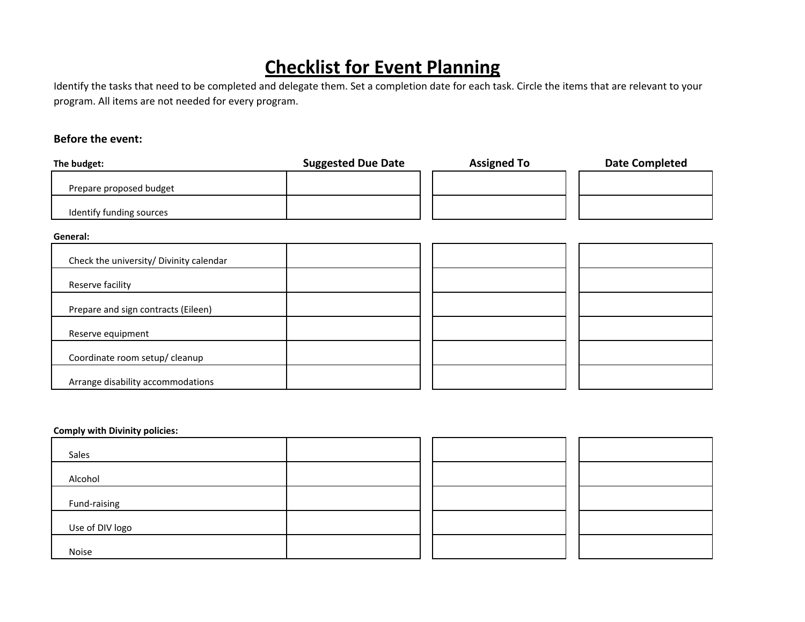# **Checklist for Event Planning**

Identify the tasks that need to be completed and delegate them. Set <sup>a</sup> completion date for each task. Circle the items that are relevant to your program. All items are not needed for every program.

# **Before the event:**

| The budget:                             | <b>Suggested Due Date</b> | <b>Assigned To</b> | <b>Date Completed</b> |
|-----------------------------------------|---------------------------|--------------------|-----------------------|
| Prepare proposed budget                 |                           |                    |                       |
| Identify funding sources                |                           |                    |                       |
| General:                                |                           |                    |                       |
| Check the university/ Divinity calendar |                           |                    |                       |
| Reserve facility                        |                           |                    |                       |
| Prepare and sign contracts (Eileen)     |                           |                    |                       |
| Reserve equipment                       |                           |                    |                       |
| Coordinate room setup/ cleanup          |                           |                    |                       |
| Arrange disability accommodations       |                           |                    |                       |

## **Comply with Divinity policies:**

| Sales           |  |  |
|-----------------|--|--|
| Alcohol         |  |  |
| Fund-raising    |  |  |
| Use of DIV logo |  |  |
| Noise           |  |  |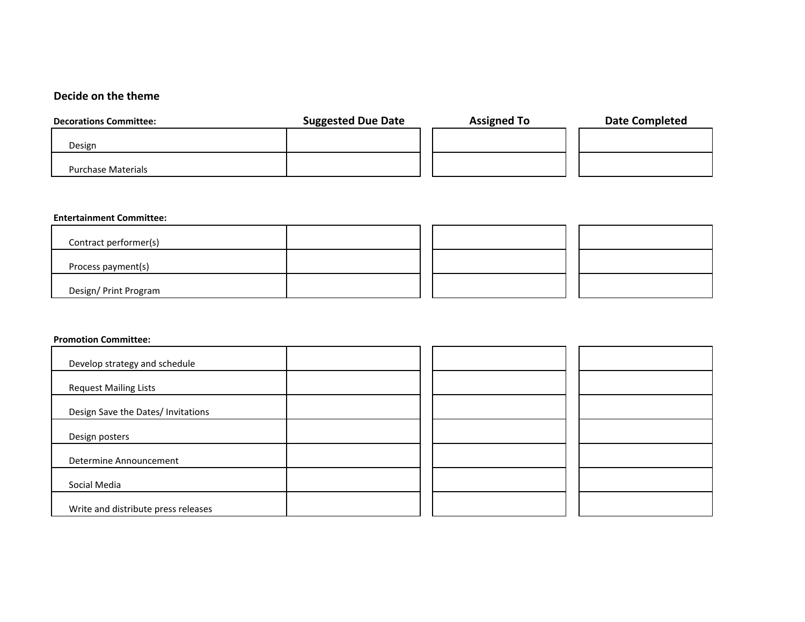### **Decide on the theme**

| <b>Decorations Committee:</b> | <b>Suggested Due Date</b> | <b>Assigned To</b> | <b>Date Completed</b> |
|-------------------------------|---------------------------|--------------------|-----------------------|
| Design                        |                           |                    |                       |
| Purchase Materials            |                           |                    |                       |

#### **Entertainment Committee:**

| Contract performer(s) |  |  |  |
|-----------------------|--|--|--|
| Process payment(s)    |  |  |  |
| Design/ Print Program |  |  |  |

#### **Promotion Committee:**

| Develop strategy and schedule       |  |
|-------------------------------------|--|
| <b>Request Mailing Lists</b>        |  |
| Design Save the Dates/ Invitations  |  |
| Design posters                      |  |
| Determine Announcement              |  |
| Social Media                        |  |
| Write and distribute press releases |  |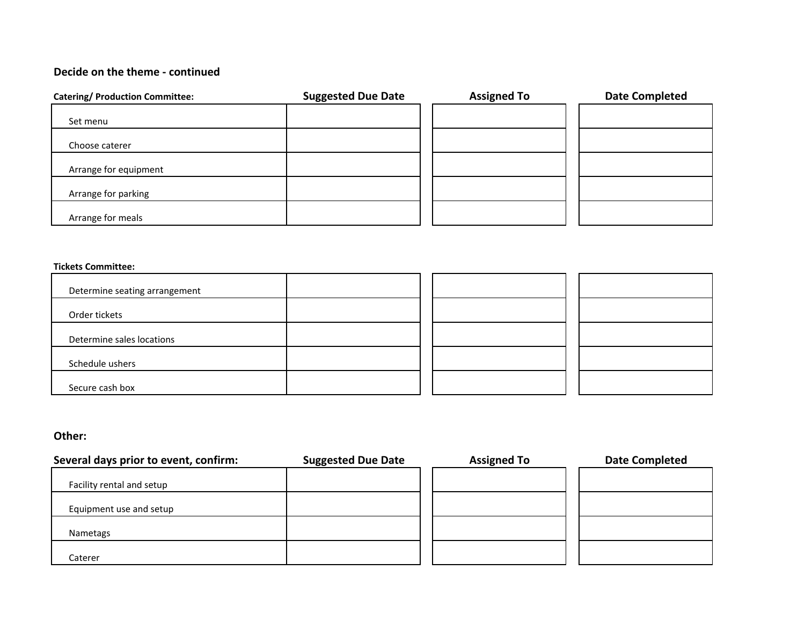# **Decide on the theme ‐ continued**

| <b>Catering/ Production Committee:</b> | <b>Suggested Due Date</b> | <b>Assigned To</b> | <b>Date Completed</b> |
|----------------------------------------|---------------------------|--------------------|-----------------------|
| Set menu                               |                           |                    |                       |
| Choose caterer                         |                           |                    |                       |
| Arrange for equipment                  |                           |                    |                       |
| Arrange for parking                    |                           |                    |                       |
| Arrange for meals                      |                           |                    |                       |

#### **Tickets Committee:**

| Determine seating arrangement |  |
|-------------------------------|--|
| Order tickets                 |  |
| Determine sales locations     |  |
| Schedule ushers               |  |
| Secure cash box               |  |

## **Other:**

| Several days prior to event, confirm: | <b>Suggested Due Date</b> | <b>Assigned To</b> | <b>Date Completed</b> |
|---------------------------------------|---------------------------|--------------------|-----------------------|
| Facility rental and setup             |                           |                    |                       |
| Equipment use and setup               |                           |                    |                       |
| Nametags                              |                           |                    |                       |
| Caterer                               |                           |                    |                       |